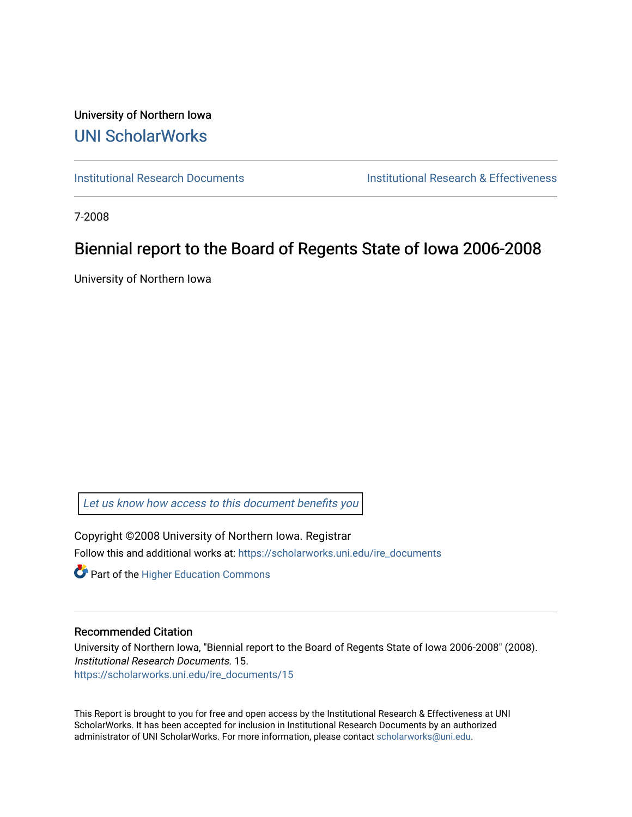University of Northern Iowa [UNI ScholarWorks](https://scholarworks.uni.edu/) 

[Institutional Research Documents](https://scholarworks.uni.edu/ire_documents) [Institutional Research & Effectiveness](https://scholarworks.uni.edu/ire) 

7-2008

# Biennial report to the Board of Regents State of Iowa 2006-2008

University of Northern Iowa

[Let us know how access to this document benefits you](https://scholarworks.uni.edu/feedback_form.html) 

Copyright ©2008 University of Northern Iowa. Registrar Follow this and additional works at: [https://scholarworks.uni.edu/ire\\_documents](https://scholarworks.uni.edu/ire_documents?utm_source=scholarworks.uni.edu%2Fire_documents%2F15&utm_medium=PDF&utm_campaign=PDFCoverPages) 

**Part of the Higher Education Commons** 

### Recommended Citation

University of Northern Iowa, "Biennial report to the Board of Regents State of Iowa 2006-2008" (2008). Institutional Research Documents. 15. [https://scholarworks.uni.edu/ire\\_documents/15](https://scholarworks.uni.edu/ire_documents/15?utm_source=scholarworks.uni.edu%2Fire_documents%2F15&utm_medium=PDF&utm_campaign=PDFCoverPages)

This Report is brought to you for free and open access by the Institutional Research & Effectiveness at UNI ScholarWorks. It has been accepted for inclusion in Institutional Research Documents by an authorized administrator of UNI ScholarWorks. For more information, please contact [scholarworks@uni.edu](mailto:scholarworks@uni.edu).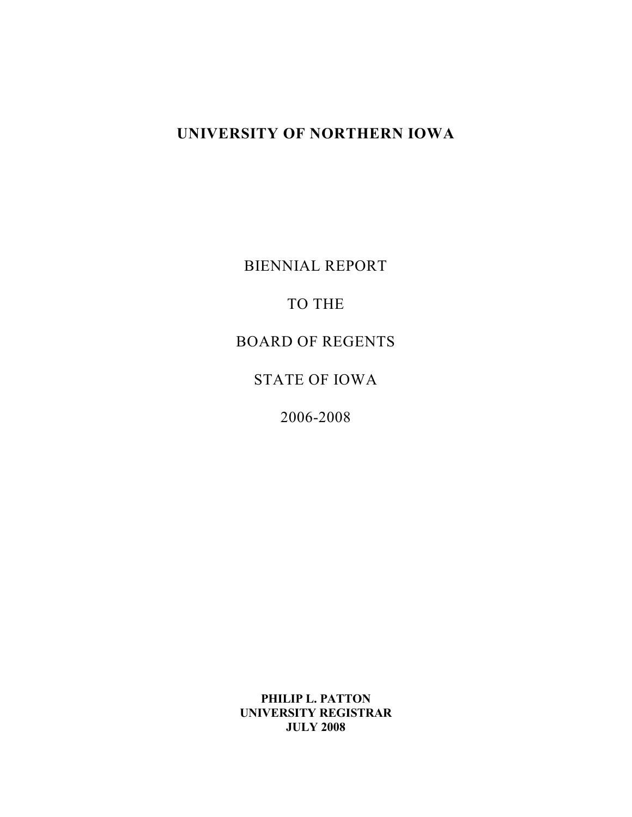# **UNIVERSITY OF NORTHERN IOWA**

BIENNIAL REPORT

## TO THE

## BOARD OF REGENTS

## STATE OF IOWA

2006-2008

**PHILIP L. PATTON UNIVERSITY REGISTRAR JULY 2008**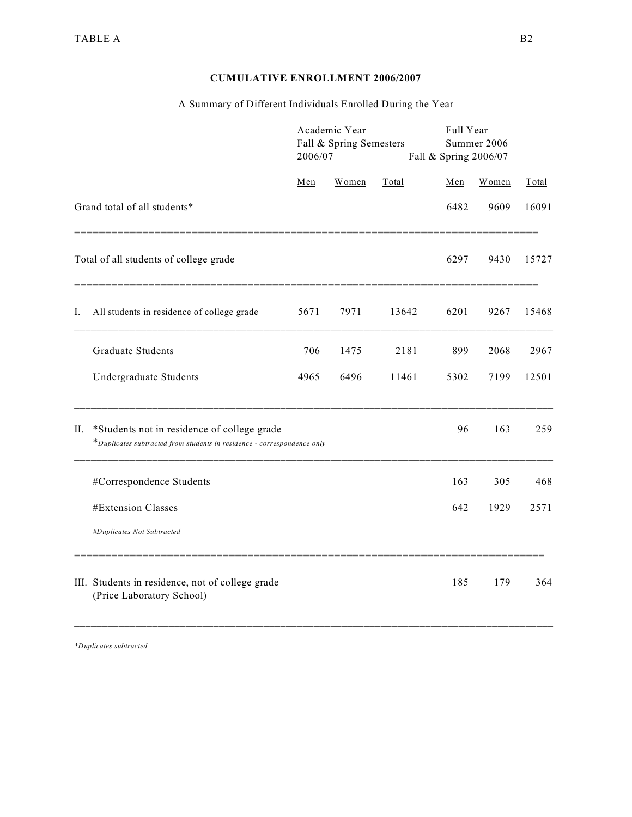## **CUMULATIVE ENROLLMENT 2006/2007**

## A Summary of Different Individuals Enrolled During the Year

|    |                                                                                                                        | 2006/07 | Academic Year<br>Fall & Spring Semesters |       | Full Year<br>Summer 2006<br>Fall & Spring 2006/07 |       |       |
|----|------------------------------------------------------------------------------------------------------------------------|---------|------------------------------------------|-------|---------------------------------------------------|-------|-------|
|    |                                                                                                                        | Men     | Women                                    | Total | Men                                               | Women | Total |
|    | Grand total of all students*                                                                                           |         |                                          |       | 6482                                              | 9609  | 16091 |
|    | Total of all students of college grade                                                                                 |         |                                          |       | 6297                                              | 9430  | 15727 |
| Ι. | All students in residence of college grade                                                                             | 5671    | 7971                                     | 13642 | 6201                                              | 9267  | 15468 |
|    | <b>Graduate Students</b>                                                                                               | 706     | 1475                                     | 2181  | 899                                               | 2068  | 2967  |
|    | Undergraduate Students                                                                                                 | 4965    | 6496                                     | 11461 | 5302                                              | 7199  | 12501 |
| П. | *Students not in residence of college grade<br>*Duplicates subtracted from students in residence - correspondence only |         |                                          |       | 96                                                | 163   | 259   |
|    | #Correspondence Students                                                                                               |         |                                          |       | 163                                               | 305   | 468   |
|    | #Extension Classes                                                                                                     |         |                                          |       | 642                                               | 1929  | 2571  |
|    | #Duplicates Not Subtracted                                                                                             |         |                                          |       |                                                   |       |       |
|    | III. Students in residence, not of college grade<br>(Price Laboratory School)                                          |         |                                          |       | 185                                               | 179   | 364   |

*\*Duplicates subtracted*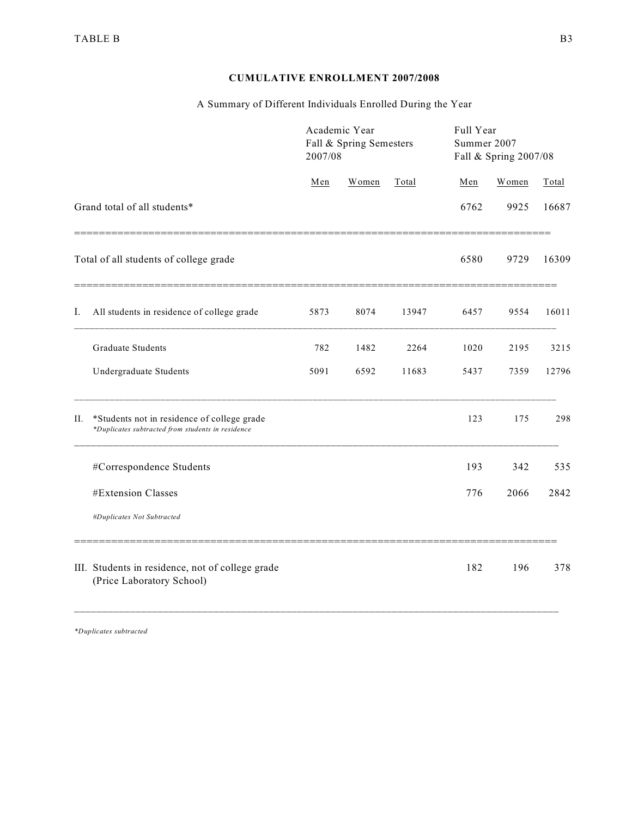## **CUMULATIVE ENROLLMENT 2007/2008**

## A Summary of Different Individuals Enrolled During the Year

|    |                                                                                                  | 2007/08 | Academic Year<br>Fall & Spring Semesters |       | Full Year<br>Summer 2007<br>Fall & Spring 2007/08 |       |       |
|----|--------------------------------------------------------------------------------------------------|---------|------------------------------------------|-------|---------------------------------------------------|-------|-------|
|    |                                                                                                  | Men     | Women                                    | Total | Men                                               | Women | Total |
|    | Grand total of all students*                                                                     |         |                                          |       | 6762                                              | 9925  | 16687 |
|    | Total of all students of college grade                                                           |         |                                          |       | 6580                                              | 9729  | 16309 |
| Ι. | All students in residence of college grade                                                       | 5873    | 8074                                     | 13947 | 6457                                              | 9554  | 16011 |
|    | <b>Graduate Students</b>                                                                         | 782     | 1482                                     | 2264  | 1020                                              | 2195  | 3215  |
|    | Undergraduate Students                                                                           | 5091    | 6592                                     | 11683 | 5437                                              | 7359  | 12796 |
| П. | *Students not in residence of college grade<br>*Duplicates subtracted from students in residence |         |                                          |       | 123                                               | 175   | 298   |
|    | #Correspondence Students                                                                         |         |                                          |       | 193                                               | 342   | 535   |
|    | #Extension Classes                                                                               |         |                                          |       | 776                                               | 2066  | 2842  |
|    | #Duplicates Not Subtracted                                                                       |         |                                          |       |                                                   |       |       |
|    | III. Students in residence, not of college grade<br>(Price Laboratory School)                    |         |                                          |       | 182                                               | 196   | 378   |

*\*Duplicates subtracted*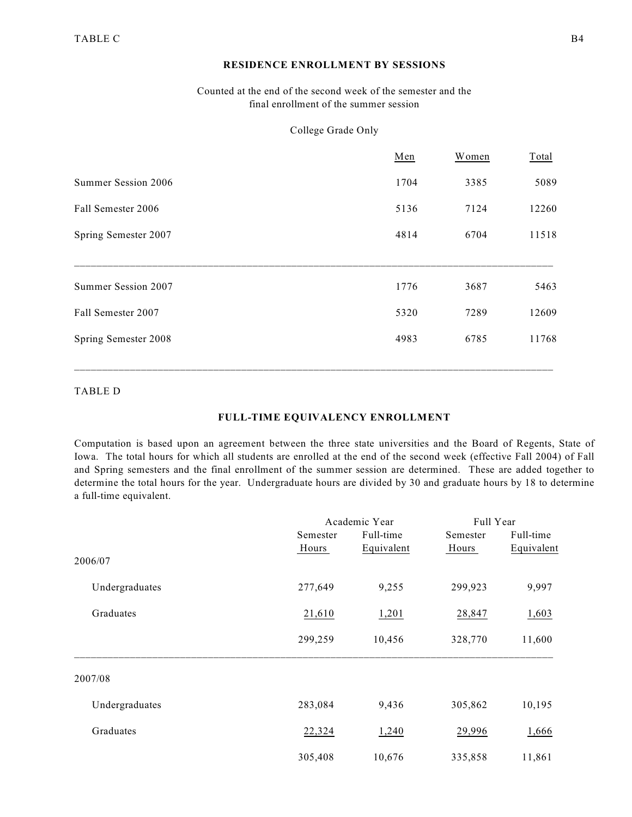### **RESIDENCE ENROLLMENT BY SESSIONS**

### Counted at the end of the second week of the semester and the final enrollment of the summer session

### College Grade Only

|                      | Men  | Women | Total |
|----------------------|------|-------|-------|
| Summer Session 2006  | 1704 | 3385  | 5089  |
| Fall Semester 2006   | 5136 | 7124  | 12260 |
| Spring Semester 2007 | 4814 | 6704  | 11518 |
|                      |      |       |       |
| Summer Session 2007  | 1776 | 3687  | 5463  |
| Fall Semester 2007   | 5320 | 7289  | 12609 |
| Spring Semester 2008 | 4983 | 6785  | 11768 |
|                      |      |       |       |

### TABLE D

### **FULL-TIME EQUIVALENCY ENROLLMENT**

Computation is based upon an agreement between the three state universities and the Board of Regents, State of Iowa. The total hours for which all students are enrolled at the end of the second week (effective Fall 2004) of Fall and Spring semesters and the final enrollment of the summer session are determined. These are added together to determine the total hours for the year. Undergraduate hours are divided by 30 and graduate hours by 18 to determine a full-time equivalent.

|                |          | Academic Year | Full Year |            |  |
|----------------|----------|---------------|-----------|------------|--|
|                | Semester | Full-time     | Semester  | Full-time  |  |
|                | Hours    | Equivalent    | Hours     | Equivalent |  |
| 2006/07        |          |               |           |            |  |
| Undergraduates | 277,649  | 9,255         | 299,923   | 9,997      |  |
| Graduates      | 21,610   | 1,201         | 28,847    | 1,603      |  |
|                | 299,259  | 10,456        | 328,770   | 11,600     |  |
| 2007/08        |          |               |           |            |  |
| Undergraduates | 283,084  | 9,436         | 305,862   | 10,195     |  |
| Graduates      | 22,324   | 1,240         | 29,996    | 1,666      |  |
|                | 305,408  | 10,676        | 335,858   | 11,861     |  |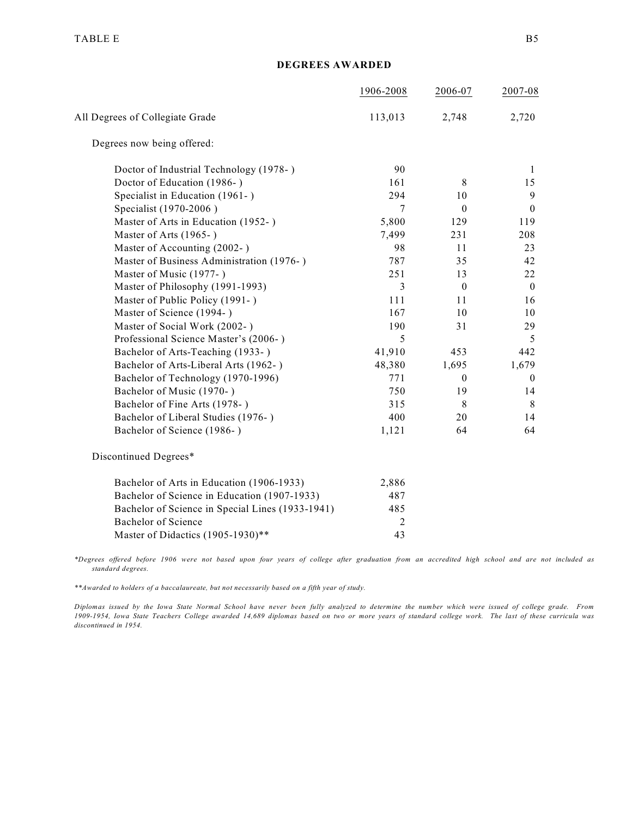#### **DEGREES AWARDED**

|                                                  | 1906-2008      | 2006-07          | 2007-08          |
|--------------------------------------------------|----------------|------------------|------------------|
| All Degrees of Collegiate Grade                  | 113,013        | 2,748            | 2,720            |
| Degrees now being offered:                       |                |                  |                  |
| Doctor of Industrial Technology (1978-)          | 90             |                  | 1                |
| Doctor of Education (1986-)                      | 161            | 8                | 15               |
| Specialist in Education (1961-)                  | 294            | 10               | $\overline{9}$   |
| Specialist (1970-2006)                           | 7              | $\mathbf{0}$     | $\mathbf{0}$     |
| Master of Arts in Education (1952-)              | 5,800          | 129              | 119              |
| Master of Arts (1965-)                           | 7,499          | 231              | 208              |
| Master of Accounting (2002-)                     | 98             | 11               | 23               |
| Master of Business Administration (1976-)        | 787            | 35               | 42               |
| Master of Music (1977-)                          | 251            | 13               | 22               |
| Master of Philosophy (1991-1993)                 | 3              | $\boldsymbol{0}$ | $\mathbf{0}$     |
| Master of Public Policy (1991-)                  | 111            | 11               | 16               |
| Master of Science (1994-)                        | 167            | 10               | 10               |
| Master of Social Work (2002-)                    | 190            | 31               | 29               |
| Professional Science Master's (2006-)            | 5              |                  | 5                |
| Bachelor of Arts-Teaching (1933-)                | 41,910         | 453              | 442              |
| Bachelor of Arts-Liberal Arts (1962-)            | 48,380         | 1,695            | 1,679            |
| Bachelor of Technology (1970-1996)               | 771            | $\mathbf{0}$     | $\boldsymbol{0}$ |
| Bachelor of Music (1970-)                        | 750            | 19               | 14               |
| Bachelor of Fine Arts (1978-)                    | 315            | 8                | 8                |
| Bachelor of Liberal Studies (1976-)              | 400            | 20               | 14               |
| Bachelor of Science (1986-)                      | 1,121          | 64               | 64               |
| Discontinued Degrees*                            |                |                  |                  |
| Bachelor of Arts in Education (1906-1933)        | 2,886          |                  |                  |
| Bachelor of Science in Education (1907-1933)     | 487            |                  |                  |
| Bachelor of Science in Special Lines (1933-1941) | 485            |                  |                  |
| <b>Bachelor of Science</b>                       | $\overline{2}$ |                  |                  |
| Master of Didactics (1905-1930)**                | 43             |                  |                  |

*\*Degrees offered before 1906 were not based upon four years of college after graduation from an accredited high school and are not included as standard degrees.*

*\*\*Awarded to holders of a baccalaureate, but not necessarily based on a fifth year of study.*

*Diplomas issued by the Iowa State Normal School have never been fully analyzed to determine the number which were issued of college grade. From 1909-1954, Iowa State Teachers College awarded 14,689 diplomas based on two or more years of standard college work. The last of these curricula was discontinued in 1954.*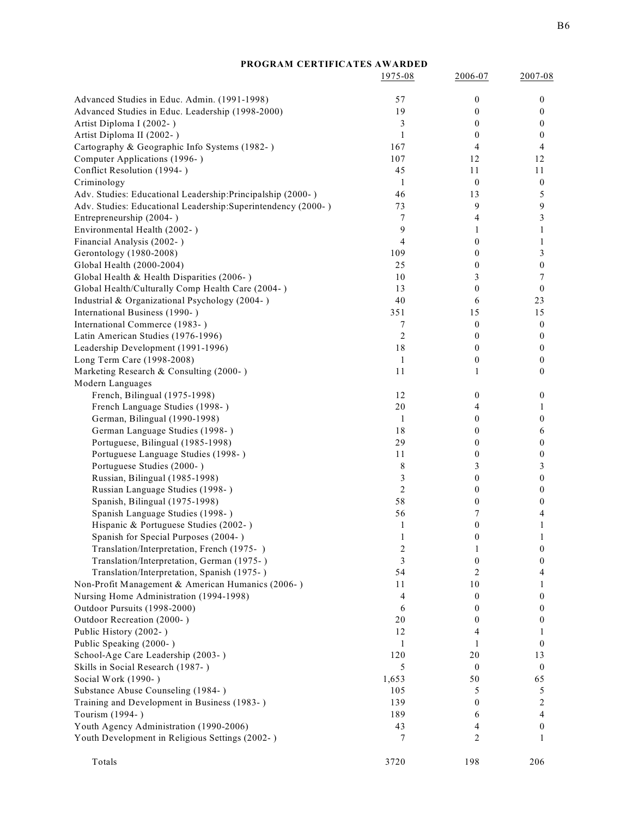| PROGRAM CERTIFICATES AWARDED                                                     |                         |                  |                        |
|----------------------------------------------------------------------------------|-------------------------|------------------|------------------------|
|                                                                                  | 1975-08                 | 2006-07          | 2007-08                |
| Advanced Studies in Educ. Admin. (1991-1998)                                     | 57                      | $\boldsymbol{0}$ | $\boldsymbol{0}$       |
| Advanced Studies in Educ. Leadership (1998-2000)                                 | 19                      | 0                | 0                      |
| Artist Diploma I (2002-)                                                         | 3                       | $\boldsymbol{0}$ | 0                      |
| Artist Diploma II (2002-)                                                        | $\mathbf{1}$            | $\mathbf{0}$     | $\mathbf{0}$           |
| Cartography & Geographic Info Systems (1982-)                                    | 167                     | 4                | 4                      |
| Computer Applications (1996-)                                                    | 107                     | 12               | 12                     |
| Conflict Resolution (1994-)                                                      | 45                      | 11               | 11                     |
| Criminology                                                                      | 1                       | $\mathbf{0}$     | $\boldsymbol{0}$       |
| Adv. Studies: Educational Leadership:Principalship (2000-)                       | 46                      | 13               | 5                      |
| Adv. Studies: Educational Leadership: Superintendency (2000-)                    | 73                      | 9                | 9                      |
| Entrepreneurship (2004-)                                                         | 7                       | 4                | 3                      |
| Environmental Health (2002-)                                                     | 9                       | 1                | 1                      |
| Financial Analysis (2002-)                                                       | $\overline{4}$          | $\boldsymbol{0}$ | 1                      |
| Gerontology (1980-2008)                                                          | 109                     | $\boldsymbol{0}$ | 3                      |
| Global Health (2000-2004)                                                        | 25                      | $\boldsymbol{0}$ | 0                      |
| Global Health & Health Disparities (2006-)                                       | 10                      | 3                | 7                      |
| Global Health/Culturally Comp Health Care (2004-)                                | 13<br>40                | $\boldsymbol{0}$ | $\boldsymbol{0}$<br>23 |
| Industrial & Organizational Psychology (2004-)<br>International Business (1990-) | 351                     | 6<br>15          | 15                     |
| International Commerce (1983-)                                                   | 7                       | $\boldsymbol{0}$ | $\boldsymbol{0}$       |
| Latin American Studies (1976-1996)                                               | 2                       | $\mathbf{0}$     | $\mathbf{0}$           |
| Leadership Development (1991-1996)                                               | 18                      | $\mathbf{0}$     | $\mathbf{0}$           |
| Long Term Care (1998-2008)                                                       | 1                       | $\boldsymbol{0}$ | $\mathbf{0}$           |
| Marketing Research & Consulting (2000-)                                          | 11                      | 1                | $\mathbf{0}$           |
| Modern Languages                                                                 |                         |                  |                        |
| French, Bilingual (1975-1998)                                                    | 12                      | $\boldsymbol{0}$ | $\boldsymbol{0}$       |
| French Language Studies (1998-)                                                  | 20                      | 4                | 1                      |
| German, Bilingual (1990-1998)                                                    | 1                       | $\boldsymbol{0}$ | 0                      |
| German Language Studies (1998-)                                                  | 18                      | $\boldsymbol{0}$ | 6                      |
| Portuguese, Bilingual (1985-1998)                                                | 29                      | $\mathbf{0}$     | $\mathbf{0}$           |
| Portuguese Language Studies (1998-)                                              | 11                      | $\boldsymbol{0}$ | $\mathbf{0}$           |
| Portuguese Studies (2000-)                                                       | 8                       | 3                | 3                      |
| Russian, Bilingual (1985-1998)                                                   | 3                       | $\boldsymbol{0}$ | $\mathbf{0}$           |
| Russian Language Studies (1998-)                                                 | $\overline{2}$          | $\boldsymbol{0}$ | 0                      |
| Spanish, Bilingual (1975-1998)                                                   | 58                      | $\boldsymbol{0}$ | 0                      |
| Spanish Language Studies (1998-)                                                 | 56                      | 7                | 4                      |
| Hispanic & Portuguese Studies (2002-)                                            | $\mathbf{1}$            | $\boldsymbol{0}$ | 1                      |
| Spanish for Special Purposes (2004-)                                             | 1                       | $\boldsymbol{0}$ | 1                      |
| Translation/Interpretation, French (1975-)                                       | $\overline{\mathbf{c}}$ | 1                | 0                      |
| Translation/Interpretation, German (1975-)                                       | 3                       | 0                | 0                      |
| Translation/Interpretation, Spanish (1975-)                                      | 54                      | 2                | 4                      |
| Non-Profit Management & American Humanics (2006-)                                | 11                      | 10               | 1                      |
| Nursing Home Administration (1994-1998)                                          | 4                       | 0                | 0                      |
| Outdoor Pursuits (1998-2000)<br>Outdoor Recreation (2000-)                       | 6<br>20                 | 0<br>0           | 0<br>0                 |
| Public History (2002-)                                                           | 12                      | 4                | 1                      |
| Public Speaking (2000-)                                                          | 1                       | 1                | 0                      |
| School-Age Care Leadership (2003-)                                               | 120                     | 20               | 13                     |
| Skills in Social Research (1987-)                                                | 5                       | 0                | $\boldsymbol{0}$       |
| Social Work (1990-)                                                              | 1,653                   | 50               | 65                     |
| Substance Abuse Counseling (1984-)                                               | 105                     | 5                | 5                      |
| Training and Development in Business (1983-)                                     | 139                     | $\mathbf{0}$     | 2                      |
| Tourism (1994-)                                                                  | 189                     | 6                | 4                      |
| Youth Agency Administration (1990-2006)                                          | 43                      | 4                | $\mathbf{0}$           |
| Youth Development in Religious Settings (2002-)                                  | 7                       | 2                | 1                      |
| Totals                                                                           | 3720                    | 198              | 206                    |
|                                                                                  |                         |                  |                        |